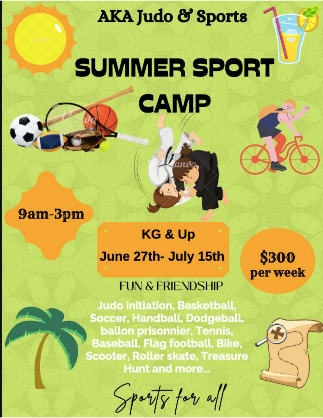**AKA Judo & Sports** 

# SUMMER SPORT CAMP

9am-3pm

## **KG & Up** June 27th- July 15th

## **FUN & FRIENDSHIP**

**Judo initiation, Basketball,** Soccer, Handball, Dodgeball, ballon prisonnier, Tennis, **Baseball, Flag football, Bike, Scooter, Roller skate, Treasure Hunt and more...** 

 $\frac{1}{\sqrt{2}}$ 

\$300 per week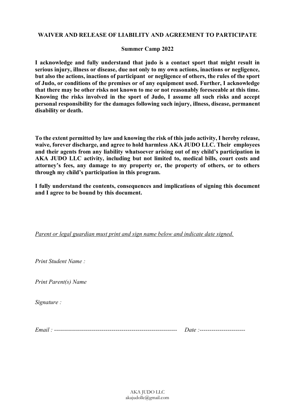#### **WAIVER AND RELEASE OF LIABILITY AND AGREEMENT TO PARTICIPATE**

#### **Summer Camp 2022**

**I acknowledge and fully understand that judo is a contact sport that might result in serious injury, illness or disease, due not only to my own actions, inactions or negligence, but also the actions, inactions of participant or negligence of others, the rules of the sport of Judo, or conditions of the premises or of any equipment used. Further, I acknowledge that there may be other risks not known to me or not reasonably foreseeable at this time. Knowing the risks involved in the sport of Judo, I assume all such risks and accept personal responsibility for the damages following such injury, illness, disease, permanent disability or death.** 

**To the extent permitted by law and knowing the risk of this judo activity, I hereby release, waive, forever discharge, and agree to hold harmless AKA JUDO LLC. Their employees**  and their agents from any liability whatsoever arising out of my child's participation in **AKA JUDO LLC activity, including but not limited to, medical bills, court costs and**  attorney's fees, any damage to my property or, the property of others, or to others through my child's participation in this program.

**I fully understand the contents, consequences and implications of signing this document and I agree to be bound by this document.** 

*Parent or legal guardian must print and sign name below and indicate date signed.* 

*Print Student Name :* 

*Print Parent(s) Name* 

*Signature :* 

*Email : -------------------------------------------------------------- Date :-----------------------*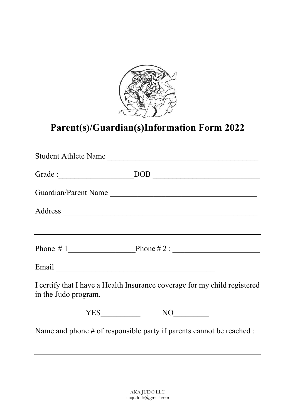

### **Parent(s)/Guardian(s)Information Form 2022**

| Student Athlete Name                                                                                                                                                                                                                                                                                                                                                                                                  |
|-----------------------------------------------------------------------------------------------------------------------------------------------------------------------------------------------------------------------------------------------------------------------------------------------------------------------------------------------------------------------------------------------------------------------|
|                                                                                                                                                                                                                                                                                                                                                                                                                       |
| Guardian/Parent Name                                                                                                                                                                                                                                                                                                                                                                                                  |
|                                                                                                                                                                                                                                                                                                                                                                                                                       |
|                                                                                                                                                                                                                                                                                                                                                                                                                       |
|                                                                                                                                                                                                                                                                                                                                                                                                                       |
|                                                                                                                                                                                                                                                                                                                                                                                                                       |
| I certify that I have a Health Insurance coverage for my child registered<br>in the Judo program.                                                                                                                                                                                                                                                                                                                     |
| $\begin{picture}(150,10) \put(0,0){\dashbox{0.5}(10,0){ }} \thicklines \put(0,0){\dashbox{0.5}(10,0){ }} \thicklines \put(0,0){\dashbox{0.5}(10,0){ }} \thicklines \put(0,0){\dashbox{0.5}(10,0){ }} \thicklines \put(0,0){\dashbox{0.5}(10,0){ }} \thicklines \put(0,0){\dashbox{0.5}(10,0){ }} \thicklines \put(0,0){\dashbox{0.5}(10,0){ }} \thicklines \put(0,0){\dashbox{0.5}(10,0){ }} \thicklines \put(0,0){\$ |
| Name and phone $#$ of responsible party if parents cannot be reached :                                                                                                                                                                                                                                                                                                                                                |